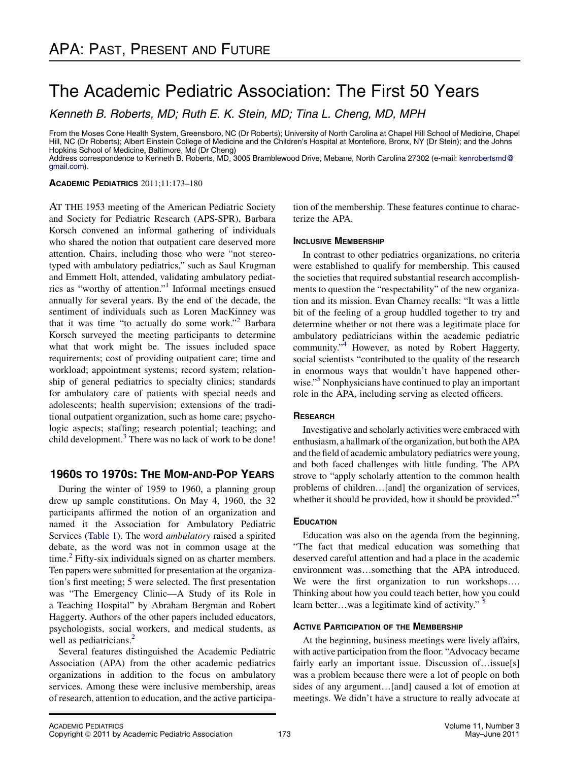# The Academic Pediatric Association: The First 50 Years

Kenneth B. Roberts, MD; Ruth E. K. Stein, MD; Tina L. Cheng, MD, MPH

From the Moses Cone Health System, Greensboro, NC (Dr Roberts); University of North Carolina at Chapel Hill School of Medicine, Chapel Hill, NC (Dr Roberts); Albert Einstein College of Medicine and the Children's Hospital at Montefiore, Bronx, NY (Dr Stein); and the Johns Hopkins School of Medicine, Baltimore, Md (Dr Cheng)

Address correspondence to Kenneth B. Roberts, MD, 3005 Bramblewood Drive, Mebane, North Carolina 27302 (e-mail: [kenrobertsmd@](mailto:kenrobertsmd@gmail.com) [gmail.com\)](mailto:kenrobertsmd@gmail.com).

ACADEMIC PEDIATRICS 2011;11:173–180

AT THE 1953 meeting of the American Pediatric Society and Society for Pediatric Research (APS-SPR), Barbara Korsch convened an informal gathering of individuals who shared the notion that outpatient care deserved more attention. Chairs, including those who were "not stereotyped with ambulatory pediatrics," such as Saul Krugman and Emmett Holt, attended, validating ambulatory pediatrics as "worthy of attention."[1](#page-7-0) Informal meetings ensued annually for several years. By the end of the decade, the sentiment of individuals such as Loren MacKinney was that it was time "to actually do some work."<sup>[2](#page-7-0)</sup> Barbara Korsch surveyed the meeting participants to determine what that work might be. The issues included space requirements; cost of providing outpatient care; time and workload; appointment systems; record system; relationship of general pediatrics to specialty clinics; standards for ambulatory care of patients with special needs and adolescents; health supervision; extensions of the traditional outpatient organization, such as home care; psychologic aspects; staffing; research potential; teaching; and child development.<sup>[3](#page-7-0)</sup> There was no lack of work to be done!

# 1960s TO 1970s: THE MOM-AND-POP YEARS

During the winter of 1959 to 1960, a planning group drew up sample constitutions. On May 4, 1960, the 32 participants affirmed the notion of an organization and named it the Association for Ambulatory Pediatric Services [\(Table 1](#page-1-0)). The word ambulatory raised a spirited debate, as the word was not in common usage at the time.<sup>[2](#page-7-0)</sup> Fifty-six individuals signed on as charter members. Ten papers were submitted for presentation at the organization's first meeting; 5 were selected. The first presentation was "The Emergency Clinic—A Study of its Role in a Teaching Hospital" by Abraham Bergman and Robert Haggerty. Authors of the other papers included educators, psychologists, social workers, and medical students, as well as pediatricians.<sup>[2](#page-7-0)</sup>

Several features distinguished the Academic Pediatric Association (APA) from the other academic pediatrics organizations in addition to the focus on ambulatory services. Among these were inclusive membership, areas of research, attention to education, and the active participation of the membership. These features continue to characterize the APA.

# **INCLUSIVE MEMBERSHIP**

In contrast to other pediatrics organizations, no criteria were established to qualify for membership. This caused the societies that required substantial research accomplishments to question the "respectability" of the new organization and its mission. Evan Charney recalls: "It was a little bit of the feeling of a group huddled together to try and determine whether or not there was a legitimate place for ambulatory pediatricians within the academic pediatric community."[4](#page-7-0) However, as noted by Robert Haggerty, social scientists "contributed to the quality of the research in enormous ways that wouldn't have happened other-wise."<sup>[5](#page-7-0)</sup> Nonphysicians have continued to play an important role in the APA, including serving as elected officers.

# **RESEARCH**

Investigative and scholarly activities were embraced with enthusiasm, a hallmark of the organization, but both the APA and the field of academic ambulatory pediatrics were young, and both faced challenges with little funding. The APA strove to "apply scholarly attention to the common health problems of children...[and] the organization of services, whether it should be provided, how it should be provided."<sup>[5](#page-7-0)</sup>

Education was also on the agenda from the beginning. "The fact that medical education was something that deserved careful attention and had a place in the academic environment was...something that the APA introduced. We were the first organization to run workshops.... Thinking about how you could teach better, how you could learn better...was a legitimate kind of activity." <sup>[5](#page-7-0)</sup>

# **ACTIVE PARTICIPATION OF THE MEMBERSHIP**

At the beginning, business meetings were lively affairs, with active participation from the floor. "Advocacy became fairly early an important issue. Discussion of... $isu \in [s]$ was a problem because there were a lot of people on both sides of any argument...[and] caused a lot of emotion at meetings. We didn't have a structure to really advocate at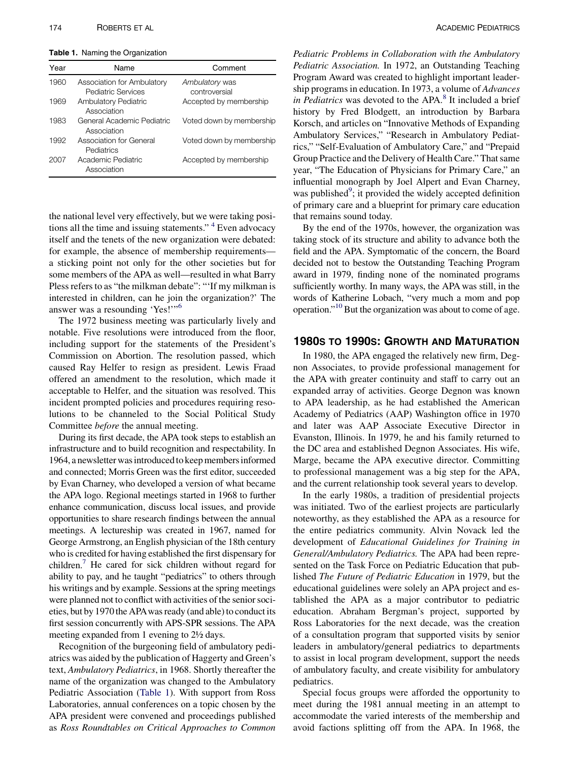<span id="page-1-0"></span>Table 1. Naming the Organization

| Year | Name                                             | Comment                         |
|------|--------------------------------------------------|---------------------------------|
| 1960 | Association for Ambulatory<br>Pediatric Services | Ambulatory was<br>controversial |
| 1969 | <b>Ambulatory Pediatric</b><br>Association       | Accepted by membership          |
| 1983 | General Academic Pediatric<br>Association        | Voted down by membership        |
| 1992 | Association for General<br>Pediatrics            | Voted down by membership        |
| 2007 | Academic Pediatric<br>Association                | Accepted by membership          |

the national level very effectively, but we were taking positions all the time and issuing statements." [4](#page-7-0) Even advocacy itself and the tenets of the new organization were debated: for example, the absence of membership requirements a sticking point not only for the other societies but for some members of the APA as well—resulted in what Barry Pless refers to as "the milkman debate": "'If my milkman is interested in children, can he join the organization?' The answer was a resounding 'Yes!'"[6](#page-7-0)

The 1972 business meeting was particularly lively and notable. Five resolutions were introduced from the floor, including support for the statements of the President's Commission on Abortion. The resolution passed, which caused Ray Helfer to resign as president. Lewis Fraad offered an amendment to the resolution, which made it acceptable to Helfer, and the situation was resolved. This incident prompted policies and procedures requiring resolutions to be channeled to the Social Political Study Committee before the annual meeting.

During its first decade, the APA took steps to establish an infrastructure and to build recognition and respectability. In 1964, a newsletter wasintroducedto keep membersinformed and connected; Morris Green was the first editor, succeeded by Evan Charney, who developed a version of what became the APA logo. Regional meetings started in 1968 to further enhance communication, discuss local issues, and provide opportunities to share research findings between the annual meetings. A lectureship was created in 1967, named for George Armstrong, an English physician of the 18th century who is credited for having established the first dispensary for children.<sup>[7](#page-7-0)</sup> He cared for sick children without regard for ability to pay, and he taught "pediatrics" to others through his writings and by example. Sessions at the spring meetings were planned not to conflict with activities of the senior societies, but by 1970 the APAwas ready (and able) to conduct its first session concurrently with APS-SPR sessions. The APA meeting expanded from 1 evening to 2½ days.

Recognition of the burgeoning field of ambulatory pediatrics was aided by the publication of Haggerty and Green's text, Ambulatory Pediatrics, in 1968. Shortly thereafter the name of the organization was changed to the Ambulatory Pediatric Association (Table 1). With support from Ross Laboratories, annual conferences on a topic chosen by the APA president were convened and proceedings published as Ross Roundtables on Critical Approaches to Common

Pediatric Problems in Collaboration with the Ambulatory Pediatric Association. In 1972, an Outstanding Teaching Program Award was created to highlight important leadership programs in education. In 1973, a volume of Advances in Pediatrics was devoted to the APA. $8$  It included a brief history by Fred Blodgett, an introduction by Barbara Korsch, and articles on "Innovative Methods of Expanding Ambulatory Services," "Research in Ambulatory Pediatrics," "Self-Evaluation of Ambulatory Care," and "Prepaid Group Practice and the Delivery of Health Care." That same year, "The Education of Physicians for Primary Care," an influential monograph by Joel Alpert and Evan Charney, was published<sup>[9](#page-7-0)</sup>; it provided the widely accepted definition of primary care and a blueprint for primary care education that remains sound today.

By the end of the 1970s, however, the organization was taking stock of its structure and ability to advance both the field and the APA. Symptomatic of the concern, the Board decided not to bestow the Outstanding Teaching Program award in 1979, finding none of the nominated programs sufficiently worthy. In many ways, the APA was still, in the words of Katherine Lobach, "very much a mom and pop operation."<sup>[10](#page-7-0)</sup> But the organization was about to come of age.

In 1980, the APA engaged the relatively new firm, Degnon Associates, to provide professional management for the APA with greater continuity and staff to carry out an expanded array of activities. George Degnon was known to APA leadership, as he had established the American Academy of Pediatrics (AAP) Washington office in 1970 and later was AAP Associate Executive Director in Evanston, Illinois. In 1979, he and his family returned to the DC area and established Degnon Associates. His wife, Marge, became the APA executive director. Committing to professional management was a big step for the APA, and the current relationship took several years to develop.

In the early 1980s, a tradition of presidential projects was initiated. Two of the earliest projects are particularly noteworthy, as they established the APA as a resource for the entire pediatrics community. Alvin Novack led the development of Educational Guidelines for Training in General/Ambulatory Pediatrics. The APA had been represented on the Task Force on Pediatric Education that published The Future of Pediatric Education in 1979, but the educational guidelines were solely an APA project and established the APA as a major contributor to pediatric education. Abraham Bergman's project, supported by Ross Laboratories for the next decade, was the creation of a consultation program that supported visits by senior leaders in ambulatory/general pediatrics to departments to assist in local program development, support the needs of ambulatory faculty, and create visibility for ambulatory pediatrics.

Special focus groups were afforded the opportunity to meet during the 1981 annual meeting in an attempt to accommodate the varied interests of the membership and avoid factions splitting off from the APA. In 1968, the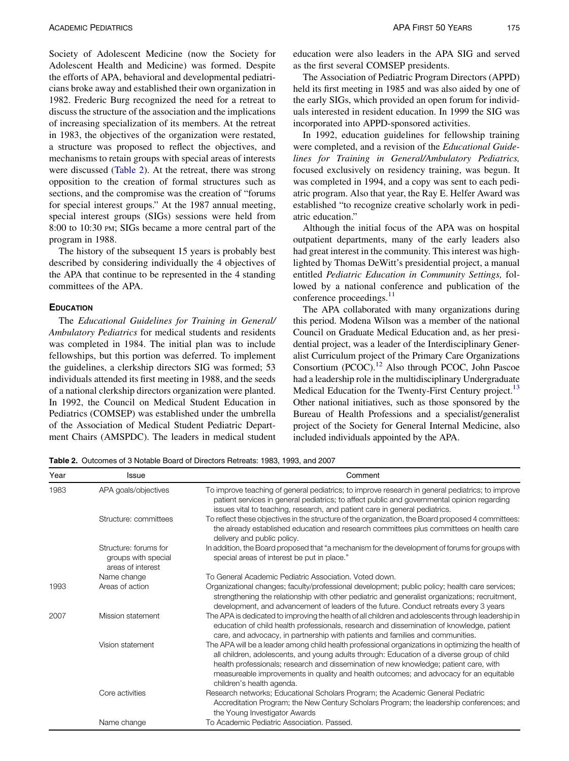<span id="page-2-0"></span>Society of Adolescent Medicine (now the Society for Adolescent Health and Medicine) was formed. Despite the efforts of APA, behavioral and developmental pediatricians broke away and established their own organization in 1982. Frederic Burg recognized the need for a retreat to discuss the structure of the association and the implications of increasing specialization of its members. At the retreat in 1983, the objectives of the organization were restated, a structure was proposed to reflect the objectives, and mechanisms to retain groups with special areas of interests were discussed (Table 2). At the retreat, there was strong opposition to the creation of formal structures such as sections, and the compromise was the creation of "forums for special interest groups." At the 1987 annual meeting, special interest groups (SIGs) sessions were held from 8:00 to 10:30 PM; SIGs became a more central part of the program in 1988.

The history of the subsequent 15 years is probably best described by considering individually the 4 objectives of the APA that continue to be represented in the 4 standing committees of the APA.

### **EDUCATION**

The Educational Guidelines for Training in General/ Ambulatory Pediatrics for medical students and residents was completed in 1984. The initial plan was to include fellowships, but this portion was deferred. To implement the guidelines, a clerkship directors SIG was formed; 53 individuals attended its first meeting in 1988, and the seeds of a national clerkship directors organization were planted. In 1992, the Council on Medical Student Education in Pediatrics (COMSEP) was established under the umbrella of the Association of Medical Student Pediatric Department Chairs (AMSPDC). The leaders in medical student

education were also leaders in the APA SIG and served as the first several COMSEP presidents.

The Association of Pediatric Program Directors (APPD) held its first meeting in 1985 and was also aided by one of the early SIGs, which provided an open forum for individuals interested in resident education. In 1999 the SIG was incorporated into APPD-sponsored activities.

In 1992, education guidelines for fellowship training were completed, and a revision of the Educational Guidelines for Training in General/Ambulatory Pediatrics, focused exclusively on residency training, was begun. It was completed in 1994, and a copy was sent to each pediatric program. Also that year, the Ray E. Helfer Award was established "to recognize creative scholarly work in pediatric education."

Although the initial focus of the APA was on hospital outpatient departments, many of the early leaders also had great interest in the community. This interest was highlighted by Thomas DeWitt's presidential project, a manual entitled Pediatric Education in Community Settings, followed by a national conference and publication of the conference proceedings.<sup>11</sup>

The APA collaborated with many organizations during this period. Modena Wilson was a member of the national Council on Graduate Medical Education and, as her presidential project, was a leader of the Interdisciplinary Generalist Curriculum project of the Primary Care Organizations Consortium (PCOC)[.12](#page-7-0) Also through PCOC, John Pascoe had a leadership role in the multidisciplinary Undergraduate Medical Education for the Twenty-First Century project.<sup>13</sup> Other national initiatives, such as those sponsored by the Bureau of Health Professions and a specialist/generalist project of the Society for General Internal Medicine, also included individuals appointed by the APA.

Table 2. Outcomes of 3 Notable Board of Directors Retreats: 1983, 1993, and 2007

| Year | Issue                                                             | Comment                                                                                                                                                                                                                                                                                                                                                                                                          |
|------|-------------------------------------------------------------------|------------------------------------------------------------------------------------------------------------------------------------------------------------------------------------------------------------------------------------------------------------------------------------------------------------------------------------------------------------------------------------------------------------------|
| 1983 | APA goals/objectives                                              | To improve teaching of general pediatrics; to improve research in general pediatrics; to improve<br>patient services in general pediatrics; to affect public and governmental opinion regarding<br>issues vital to teaching, research, and patient care in general pediatrics.                                                                                                                                   |
|      | Structure: committees                                             | To reflect these objectives in the structure of the organization, the Board proposed 4 committees:<br>the already established education and research committees plus committees on health care<br>delivery and public policy.                                                                                                                                                                                    |
|      | Structure: forums for<br>groups with special<br>areas of interest | In addition, the Board proposed that "a mechanism for the development of forums for groups with<br>special areas of interest be put in place."                                                                                                                                                                                                                                                                   |
|      | Name change                                                       | To General Academic Pediatric Association. Voted down.                                                                                                                                                                                                                                                                                                                                                           |
| 1993 | Areas of action                                                   | Organizational changes; faculty/professional development; public policy; health care services;<br>strengthening the relationship with other pediatric and generalist organizations; recruitment,<br>development, and advancement of leaders of the future. Conduct retreats every 3 years                                                                                                                        |
| 2007 | Mission statement                                                 | The APA is dedicated to improving the health of all children and adolescents through leadership in<br>education of child health professionals, research and dissemination of knowledge, patient<br>care, and advocacy, in partnership with patients and families and communities.                                                                                                                                |
|      | Vision statement                                                  | The APA will be a leader among child health professional organizations in optimizing the health of<br>all children, adolescents, and young adults through: Education of a diverse group of child<br>health professionals; research and dissemination of new knowledge; patient care, with<br>measureable improvements in quality and health outcomes; and advocacy for an equitable<br>children's health agenda. |
|      | Core activities                                                   | Research networks; Educational Scholars Program; the Academic General Pediatric<br>Accreditation Program; the New Century Scholars Program; the leadership conferences; and<br>the Young Investigator Awards                                                                                                                                                                                                     |
|      | Name change                                                       | To Academic Pediatric Association. Passed.                                                                                                                                                                                                                                                                                                                                                                       |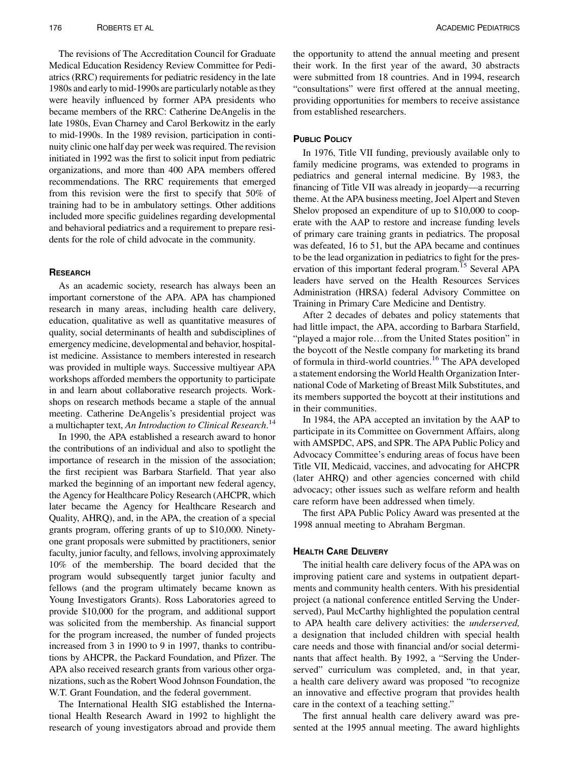The revisions of The Accreditation Council for Graduate Medical Education Residency Review Committee for Pediatrics (RRC) requirements for pediatric residency in the late 1980s and early to mid-1990s are particularly notable as they were heavily influenced by former APA presidents who became members of the RRC: Catherine DeAngelis in the late 1980s, Evan Charney and Carol Berkowitz in the early to mid-1990s. In the 1989 revision, participation in continuity clinic one half day per week was required. The revision initiated in 1992 was the first to solicit input from pediatric organizations, and more than 400 APA members offered recommendations. The RRC requirements that emerged from this revision were the first to specify that 50% of training had to be in ambulatory settings. Other additions included more specific guidelines regarding developmental and behavioral pediatrics and a requirement to prepare residents for the role of child advocate in the community.

### **RESEARCH**

As an academic society, research has always been an important cornerstone of the APA. APA has championed research in many areas, including health care delivery, education, qualitative as well as quantitative measures of quality, social determinants of health and subdisciplines of emergency medicine, developmental and behavior, hospitalist medicine. Assistance to members interested in research was provided in multiple ways. Successive multiyear APA workshops afforded members the opportunity to participate in and learn about collaborative research projects. Workshops on research methods became a staple of the annual meeting. Catherine DeAngelis's presidential project was a multichapter text, An Introduction to Clinical Research.<sup>[14](#page-7-0)</sup>

In 1990, the APA established a research award to honor the contributions of an individual and also to spotlight the importance of research in the mission of the association; the first recipient was Barbara Starfield. That year also marked the beginning of an important new federal agency, the Agency for Healthcare Policy Research (AHCPR, which later became the Agency for Healthcare Research and Quality, AHRQ), and, in the APA, the creation of a special grants program, offering grants of up to \$10,000. Ninetyone grant proposals were submitted by practitioners, senior faculty, junior faculty, and fellows, involving approximately 10% of the membership. The board decided that the program would subsequently target junior faculty and fellows (and the program ultimately became known as Young Investigators Grants). Ross Laboratories agreed to provide \$10,000 for the program, and additional support was solicited from the membership. As financial support for the program increased, the number of funded projects increased from 3 in 1990 to 9 in 1997, thanks to contributions by AHCPR, the Packard Foundation, and Pfizer. The APA also received research grants from various other organizations, such as the Robert Wood Johnson Foundation, the W.T. Grant Foundation, and the federal government.

The International Health SIG established the International Health Research Award in 1992 to highlight the research of young investigators abroad and provide them

the opportunity to attend the annual meeting and present their work. In the first year of the award, 30 abstracts were submitted from 18 countries. And in 1994, research "consultations" were first offered at the annual meeting, providing opportunities for members to receive assistance from established researchers.

## **PUBLIC POLICY**

In 1976, Title VII funding, previously available only to family medicine programs, was extended to programs in pediatrics and general internal medicine. By 1983, the financing of Title VII was already in jeopardy—a recurring theme. At the APA business meeting, Joel Alpert and Steven Shelov proposed an expenditure of up to \$10,000 to cooperate with the AAP to restore and increase funding levels of primary care training grants in pediatrics. The proposal was defeated, 16 to 51, but the APA became and continues to be the lead organization in pediatrics to fight for the pres-ervation of this important federal program.<sup>[15](#page-7-0)</sup> Several APA leaders have served on the Health Resources Services Administration (HRSA) federal Advisory Committee on Training in Primary Care Medicine and Dentistry.

After 2 decades of debates and policy statements that had little impact, the APA, according to Barbara Starfield, "played a major role...from the United States position" in the boycott of the Nestle company for marketing its brand of formula in third-world countries.[16](#page-7-0) The APA developed a statement endorsing the World Health Organization International Code of Marketing of Breast Milk Substitutes, and its members supported the boycott at their institutions and in their communities.

In 1984, the APA accepted an invitation by the AAP to participate in its Committee on Government Affairs, along with AMSPDC, APS, and SPR. The APA Public Policy and Advocacy Committee's enduring areas of focus have been Title VII, Medicaid, vaccines, and advocating for AHCPR (later AHRQ) and other agencies concerned with child advocacy; other issues such as welfare reform and health care reform have been addressed when timely.

The first APA Public Policy Award was presented at the 1998 annual meeting to Abraham Bergman.

## **HEALTH CARE DELIVERY**

The initial health care delivery focus of the APA was on improving patient care and systems in outpatient departments and community health centers. With his presidential project (a national conference entitled Serving the Underserved), Paul McCarthy highlighted the population central to APA health care delivery activities: the underserved, a designation that included children with special health care needs and those with financial and/or social determinants that affect health. By 1992, a "Serving the Underserved" curriculum was completed, and, in that year, a health care delivery award was proposed "to recognize an innovative and effective program that provides health care in the context of a teaching setting."

The first annual health care delivery award was presented at the 1995 annual meeting. The award highlights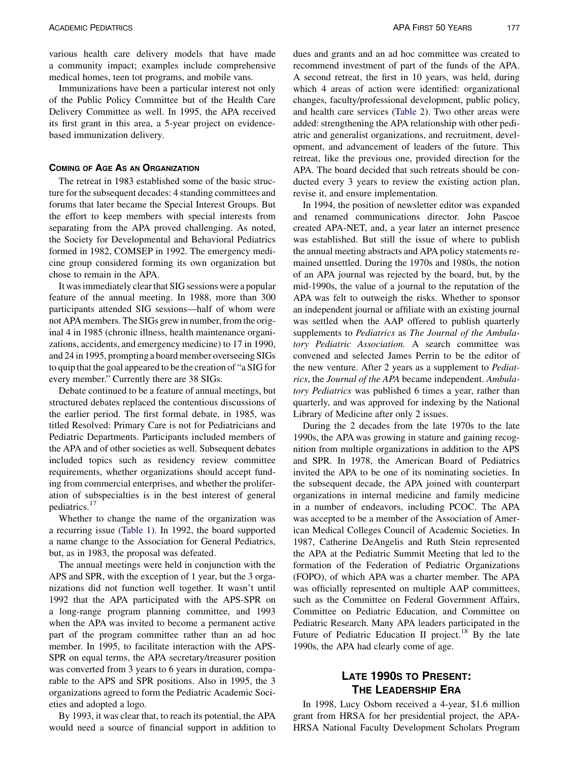various health care delivery models that have made a community impact; examples include comprehensive medical homes, teen tot programs, and mobile vans.

Immunizations have been a particular interest not only of the Public Policy Committee but of the Health Care Delivery Committee as well. In 1995, the APA received its first grant in this area, a 5-year project on evidencebased immunization delivery.

### **COMING OF AGE AS AN ORGANIZATION**

The retreat in 1983 established some of the basic structure for the subsequent decades: 4 standing committees and forums that later became the Special Interest Groups. But the effort to keep members with special interests from separating from the APA proved challenging. As noted, the Society for Developmental and Behavioral Pediatrics formed in 1982, COMSEP in 1992. The emergency medicine group considered forming its own organization but chose to remain in the APA.

It was immediately clear that SIG sessions were a popular feature of the annual meeting. In 1988, more than 300 participants attended SIG sessions—half of whom were not APA members. The SIGs grew in number, from the original 4 in 1985 (chronic illness, health maintenance organizations, accidents, and emergency medicine) to 17 in 1990, and 24 in 1995, prompting a board member overseeing SIGs to quip that the goal appeared to be the creation of "a SIG for every member." Currently there are 38 SIGs.

Debate continued to be a feature of annual meetings, but structured debates replaced the contentious discussions of the earlier period. The first formal debate, in 1985, was titled Resolved: Primary Care is not for Pediatricians and Pediatric Departments. Participants included members of the APA and of other societies as well. Subsequent debates included topics such as residency review committee requirements, whether organizations should accept funding from commercial enterprises, and whether the proliferation of subspecialties is in the best interest of general pediatrics.<sup>[17](#page-7-0)</sup>

Whether to change the name of the organization was a recurring issue [\(Table 1\)](#page-1-0). In 1992, the board supported a name change to the Association for General Pediatrics, but, as in 1983, the proposal was defeated.

The annual meetings were held in conjunction with the APS and SPR, with the exception of 1 year, but the 3 organizations did not function well together. It wasn't until 1992 that the APA participated with the APS-SPR on a long-range program planning committee, and 1993 when the APA was invited to become a permanent active part of the program committee rather than an ad hoc member. In 1995, to facilitate interaction with the APS-SPR on equal terms, the APA secretary/treasurer position was converted from 3 years to 6 years in duration, comparable to the APS and SPR positions. Also in 1995, the 3 organizations agreed to form the Pediatric Academic Societies and adopted a logo.

By 1993, it was clear that, to reach its potential, the APA would need a source of financial support in addition to

dues and grants and an ad hoc committee was created to recommend investment of part of the funds of the APA. A second retreat, the first in 10 years, was held, during which 4 areas of action were identified: organizational changes, faculty/professional development, public policy, and health care services [\(Table 2\)](#page-2-0). Two other areas were added: strengthening the APA relationship with other pediatric and generalist organizations, and recruitment, development, and advancement of leaders of the future. This retreat, like the previous one, provided direction for the APA. The board decided that such retreats should be conducted every 3 years to review the existing action plan, revise it, and ensure implementation.

In 1994, the position of newsletter editor was expanded and renamed communications director. John Pascoe created APA-NET, and, a year later an internet presence was established. But still the issue of where to publish the annual meeting abstracts and APA policy statements remained unsettled. During the 1970s and 1980s, the notion of an APA journal was rejected by the board, but, by the mid-1990s, the value of a journal to the reputation of the APA was felt to outweigh the risks. Whether to sponsor an independent journal or affiliate with an existing journal was settled when the AAP offered to publish quarterly supplements to Pediatrics as The Journal of the Ambulatory Pediatric Association. A search committee was convened and selected James Perrin to be the editor of the new venture. After 2 years as a supplement to Pediatrics, the Journal of the APA became independent. Ambulatory Pediatrics was published 6 times a year, rather than quarterly, and was approved for indexing by the National Library of Medicine after only 2 issues.

During the 2 decades from the late 1970s to the late 1990s, the APA was growing in stature and gaining recognition from multiple organizations in addition to the APS and SPR. In 1978, the American Board of Pediatrics invited the APA to be one of its nominating societies. In the subsequent decade, the APA joined with counterpart organizations in internal medicine and family medicine in a number of endeavors, including PCOC. The APA was accepted to be a member of the Association of American Medical Colleges Council of Academic Societies. In 1987, Catherine DeAngelis and Ruth Stein represented the APA at the Pediatric Summit Meeting that led to the formation of the Federation of Pediatric Organizations (FOPO), of which APA was a charter member. The APA was officially represented on multiple AAP committees, such as the Committee on Federal Government Affairs, Committee on Pediatric Education, and Committee on Pediatric Research. Many APA leaders participated in the Future of Pediatric Education II project.<sup>[18](#page-7-0)</sup> By the late 1990s, the APA had clearly come of age.

# LATE 1990S TO PRESENT:

In 1998, Lucy Osborn received a 4-year, \$1.6 million grant from HRSA for her presidential project, the APA-HRSA National Faculty Development Scholars Program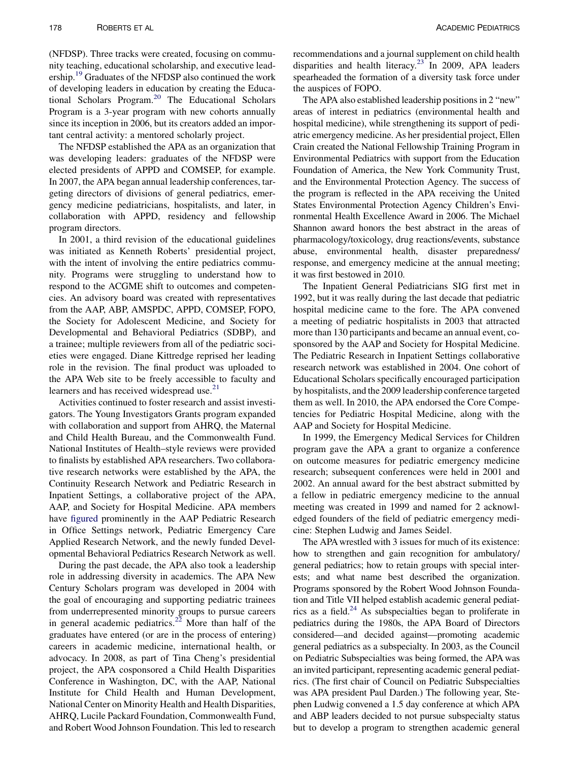(NFDSP). Three tracks were created, focusing on community teaching, educational scholarship, and executive leadership.<sup>19</sup> Graduates of the NFDSP also continued the work of developing leaders in education by creating the Educa-tional Scholars Program.<sup>[20](#page-7-0)</sup> The Educational Scholars Program is a 3-year program with new cohorts annually since its inception in 2006, but its creators added an important central activity: a mentored scholarly project.

The NFDSP established the APA as an organization that was developing leaders: graduates of the NFDSP were elected presidents of APPD and COMSEP, for example. In 2007, the APA began annual leadership conferences, targeting directors of divisions of general pediatrics, emergency medicine pediatricians, hospitalists, and later, in collaboration with APPD, residency and fellowship program directors.

In 2001, a third revision of the educational guidelines was initiated as Kenneth Roberts' presidential project, with the intent of involving the entire pediatrics community. Programs were struggling to understand how to respond to the ACGME shift to outcomes and competencies. An advisory board was created with representatives from the AAP, ABP, AMSPDC, APPD, COMSEP, FOPO, the Society for Adolescent Medicine, and Society for Developmental and Behavioral Pediatrics (SDBP), and a trainee; multiple reviewers from all of the pediatric societies were engaged. Diane Kittredge reprised her leading role in the revision. The final product was uploaded to the APA Web site to be freely accessible to faculty and learners and has received widespread use.<sup>[21](#page-7-0)</sup>

Activities continued to foster research and assist investigators. The Young Investigators Grants program expanded with collaboration and support from AHRQ, the Maternal and Child Health Bureau, and the Commonwealth Fund. National Institutes of Health–style reviews were provided to finalists by established APA researchers. Two collaborative research networks were established by the APA, the Continuity Research Network and Pediatric Research in Inpatient Settings, a collaborative project of the APA, AAP, and Society for Hospital Medicine. APA members have [figured](#page-6-0) prominently in the AAP Pediatric Research in Office Settings network, Pediatric Emergency Care Applied Research Network, and the newly funded Developmental Behavioral Pediatrics Research Network as well.

During the past decade, the APA also took a leadership role in addressing diversity in academics. The APA New Century Scholars program was developed in 2004 with the goal of encouraging and supporting pediatric trainees from underrepresented minority groups to pursue careers in general academic pediatrics.<sup>[22](#page-7-0)</sup> More than half of the graduates have entered (or are in the process of entering) careers in academic medicine, international health, or advocacy. In 2008, as part of Tina Cheng's presidential project, the APA cosponsored a Child Health Disparities Conference in Washington, DC, with the AAP, National Institute for Child Health and Human Development, National Center on Minority Health and Health Disparities, AHRQ, Lucile Packard Foundation, Commonwealth Fund, and Robert Wood Johnson Foundation. This led to research

recommendations and a journal supplement on child health disparities and health literacy. $23$  In 2009, APA leaders spearheaded the formation of a diversity task force under the auspices of FOPO.

The APA also established leadership positions in 2 "new" areas of interest in pediatrics (environmental health and hospital medicine), while strengthening its support of pediatric emergency medicine. As her presidential project, Ellen Crain created the National Fellowship Training Program in Environmental Pediatrics with support from the Education Foundation of America, the New York Community Trust, and the Environmental Protection Agency. The success of the program is reflected in the APA receiving the United States Environmental Protection Agency Children's Environmental Health Excellence Award in 2006. The Michael Shannon award honors the best abstract in the areas of pharmacology/toxicology, drug reactions/events, substance abuse, environmental health, disaster preparedness/ response, and emergency medicine at the annual meeting; it was first bestowed in 2010.

The Inpatient General Pediatricians SIG first met in 1992, but it was really during the last decade that pediatric hospital medicine came to the fore. The APA convened a meeting of pediatric hospitalists in 2003 that attracted more than 130 participants and became an annual event, cosponsored by the AAP and Society for Hospital Medicine. The Pediatric Research in Inpatient Settings collaborative research network was established in 2004. One cohort of Educational Scholars specifically encouraged participation by hospitalists, and the 2009 leadership conference targeted them as well. In 2010, the APA endorsed the Core Competencies for Pediatric Hospital Medicine, along with the AAP and Society for Hospital Medicine.

In 1999, the Emergency Medical Services for Children program gave the APA a grant to organize a conference on outcome measures for pediatric emergency medicine research; subsequent conferences were held in 2001 and 2002. An annual award for the best abstract submitted by a fellow in pediatric emergency medicine to the annual meeting was created in 1999 and named for 2 acknowledged founders of the field of pediatric emergency medicine: Stephen Ludwig and James Seidel.

The APA wrestled with 3 issues for much of its existence: how to strengthen and gain recognition for ambulatory/ general pediatrics; how to retain groups with special interests; and what name best described the organization. Programs sponsored by the Robert Wood Johnson Foundation and Title VII helped establish academic general pediatrics as a field. $^{24}$  $^{24}$  $^{24}$  As subspecialties began to proliferate in pediatrics during the 1980s, the APA Board of Directors considered—and decided against—promoting academic general pediatrics as a subspecialty. In 2003, as the Council on Pediatric Subspecialties was being formed, the APA was an invited participant, representing academic general pediatrics. (The first chair of Council on Pediatric Subspecialties was APA president Paul Darden.) The following year, Stephen Ludwig convened a 1.5 day conference at which APA and ABP leaders decided to not pursue subspecialty status but to develop a program to strengthen academic general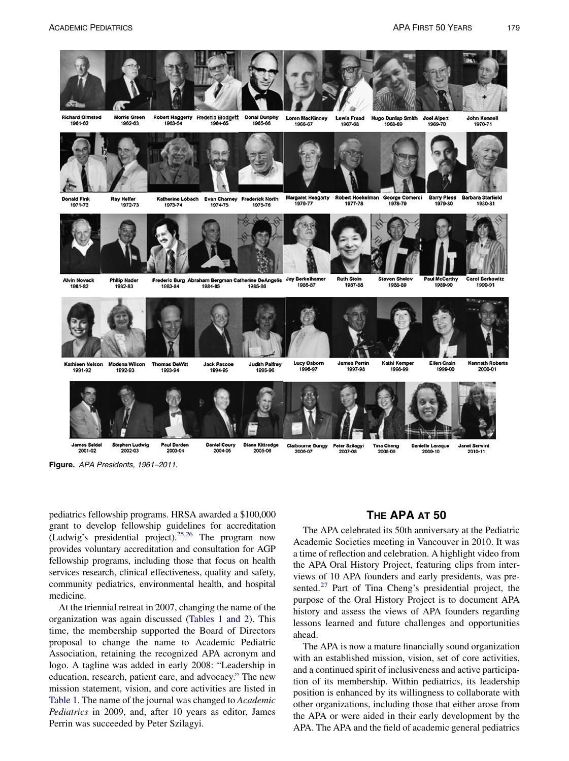<span id="page-6-0"></span>

Figure. APA Presidents, 1961–2011.

pediatrics fellowship programs. HRSA awarded a \$100,000 grant to develop fellowship guidelines for accreditation (Ludwig's presidential project).<sup>25,26</sup> The program now provides voluntary accreditation and consultation for AGP fellowship programs, including those that focus on health services research, clinical effectiveness, quality and safety, community pediatrics, environmental health, and hospital medicine.

At the triennial retreat in 2007, changing the name of the organization was again discussed [\(Tables 1 and 2](#page-1-0)). This time, the membership supported the Board of Directors proposal to change the name to Academic Pediatric Association, retaining the recognized APA acronym and logo. A tagline was added in early 2008: "Leadership in education, research, patient care, and advocacy." The new mission statement, vision, and core activities are listed in [Table 1.](#page-1-0) The name of the journal was changed to *Academic* Pediatrics in 2009, and, after 10 years as editor, James Perrin was succeeded by Peter Szilagyi.

# THE APA AT 50

The APA celebrated its 50th anniversary at the Pediatric Academic Societies meeting in Vancouver in 2010. It was a time of reflection and celebration. A highlight video from the APA Oral History Project, featuring clips from interviews of 10 APA founders and early presidents, was presented. $27$  Part of Tina Cheng's presidential project, the purpose of the Oral History Project is to document APA history and assess the views of APA founders regarding lessons learned and future challenges and opportunities ahead.

The APA is now a mature financially sound organization with an established mission, vision, set of core activities, and a continued spirit of inclusiveness and active participation of its membership. Within pediatrics, its leadership position is enhanced by its willingness to collaborate with other organizations, including those that either arose from the APA or were aided in their early development by the APA. The APA and the field of academic general pediatrics